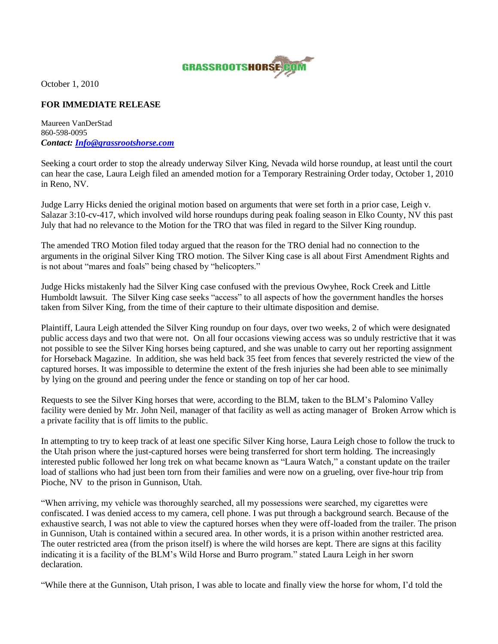

October 1, 2010

## **FOR IMMEDIATE RELEASE**

Maureen VanDerStad 860-598-0095 *Contact: [Info@grassrootshorse.com](mailto:Info@grassrootshorse.com)*

Seeking a court order to stop the already underway Silver King, Nevada wild horse roundup, at least until the court can hear the case, Laura Leigh filed an amended motion for a Temporary Restraining Order today, October 1, 2010 in Reno, NV.

Judge Larry Hicks denied the original motion based on arguments that were set forth in a prior case, Leigh v. Salazar 3:10-cv-417, which involved wild horse roundups during peak foaling season in Elko County, NV this past July that had no relevance to the Motion for the TRO that was filed in regard to the Silver King roundup.

The amended TRO Motion filed today argued that the reason for the TRO denial had no connection to the arguments in the original Silver King TRO motion. The Silver King case is all about First Amendment Rights and is not about "mares and foals" being chased by "helicopters."

Judge Hicks mistakenly had the Silver King case confused with the previous Owyhee, Rock Creek and Little Humboldt lawsuit. The Silver King case seeks "access" to all aspects of how the government handles the horses taken from Silver King, from the time of their capture to their ultimate disposition and demise.

Plaintiff, Laura Leigh attended the Silver King roundup on four days, over two weeks, 2 of which were designated public access days and two that were not. On all four occasions viewing access was so unduly restrictive that it was not possible to see the Silver King horses being captured, and she was unable to carry out her reporting assignment for Horseback Magazine. In addition, she was held back 35 feet from fences that severely restricted the view of the captured horses. It was impossible to determine the extent of the fresh injuries she had been able to see minimally by lying on the ground and peering under the fence or standing on top of her car hood.

Requests to see the Silver King horses that were, according to the BLM, taken to the BLM's Palomino Valley facility were denied by Mr. John Neil, manager of that facility as well as acting manager of Broken Arrow which is a private facility that is off limits to the public.

In attempting to try to keep track of at least one specific Silver King horse, Laura Leigh chose to follow the truck to the Utah prison where the just-captured horses were being transferred for short term holding. The increasingly interested public followed her long trek on what became known as "Laura Watch," a constant update on the trailer load of stallions who had just been torn from their families and were now on a grueling, over five-hour trip from Pioche, NV to the prison in Gunnison, Utah.

"When arriving, my vehicle was thoroughly searched, all my possessions were searched, my cigarettes were confiscated. I was denied access to my camera, cell phone. I was put through a background search. Because of the exhaustive search, I was not able to view the captured horses when they were off-loaded from the trailer. The prison in Gunnison, Utah is contained within a secured area. In other words, it is a prison within another restricted area. The outer restricted area (from the prison itself) is where the wild horses are kept. There are signs at this facility indicating it is a facility of the BLM's Wild Horse and Burro program." stated Laura Leigh in her sworn declaration.

"While there at the Gunnison, Utah prison, I was able to locate and finally view the horse for whom, I'd told the